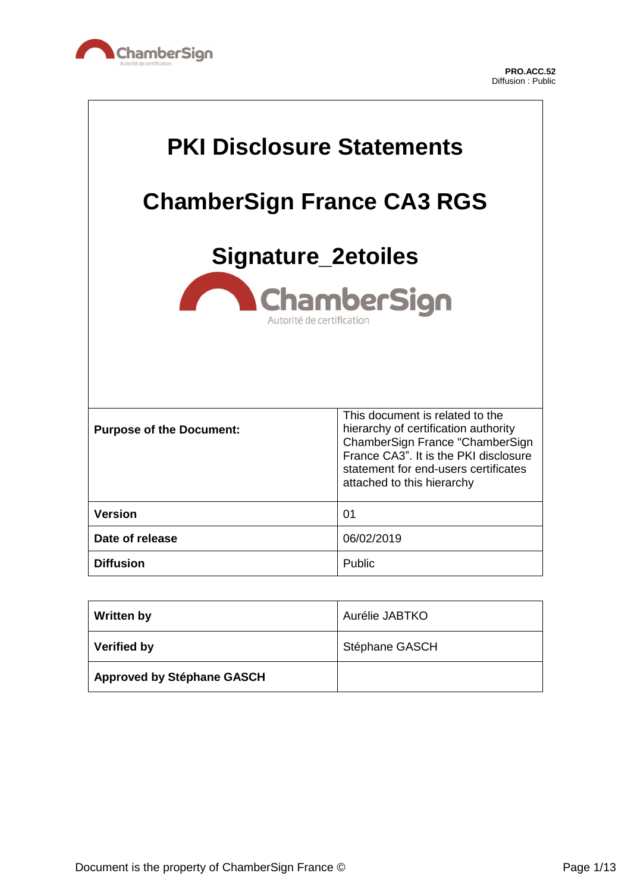

 $\Gamma$ 

 $\overline{\phantom{a}}$ 

| <b>PKI Disclosure Statements</b><br><b>ChamberSign France CA3 RGS</b><br><b>Signature_2etoiles</b><br>ChamberSign<br>Autorité de certification |                                                                                                                                                                                                                           |
|------------------------------------------------------------------------------------------------------------------------------------------------|---------------------------------------------------------------------------------------------------------------------------------------------------------------------------------------------------------------------------|
| <b>Purpose of the Document:</b>                                                                                                                | This document is related to the<br>hierarchy of certification authority<br>ChamberSign France "ChamberSign<br>France CA3". It is the PKI disclosure<br>statement for end-users certificates<br>attached to this hierarchy |
| <b>Version</b>                                                                                                                                 | 01                                                                                                                                                                                                                        |
| Date of release                                                                                                                                | 06/02/2019                                                                                                                                                                                                                |
| <b>Diffusion</b>                                                                                                                               | Public                                                                                                                                                                                                                    |

| <b>Written by</b>                 | Aurélie JABTKO |
|-----------------------------------|----------------|
| <b>Verified by</b>                | Stéphane GASCH |
| <b>Approved by Stéphane GASCH</b> |                |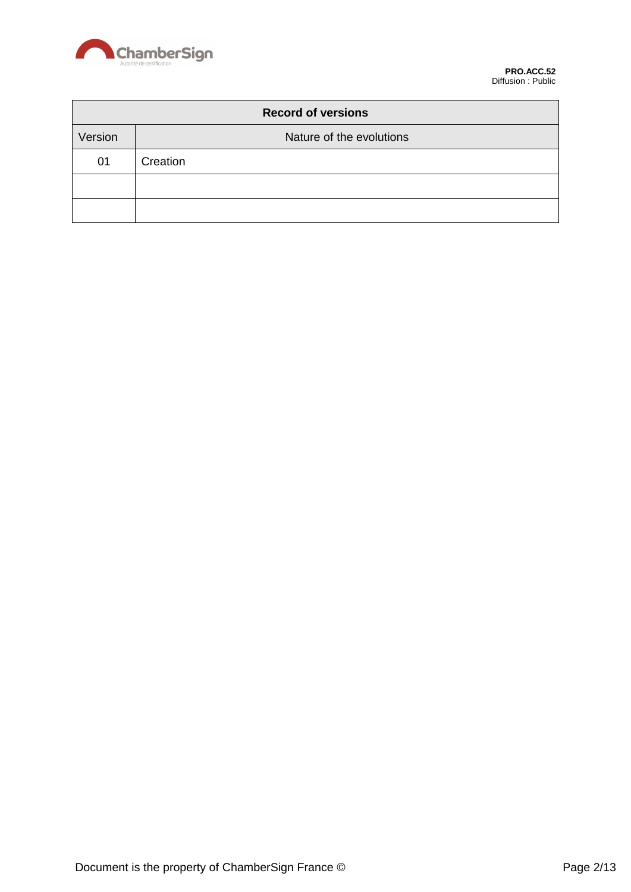

| <b>Record of versions</b> |                          |
|---------------------------|--------------------------|
| Version                   | Nature of the evolutions |
| 01                        | Creation                 |
|                           |                          |
|                           |                          |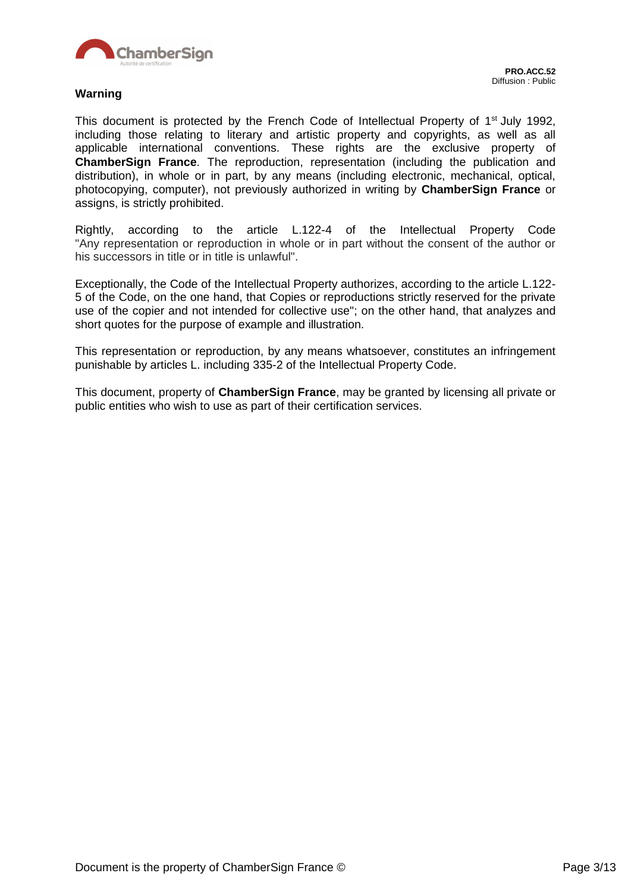

#### **Warning**

This document is protected by the French Code of Intellectual Property of 1<sup>st</sup> July 1992, including those relating to literary and artistic property and copyrights, as well as all applicable international conventions. These rights are the exclusive property of **ChamberSign France**. The reproduction, representation (including the publication and distribution), in whole or in part, by any means (including electronic, mechanical, optical, photocopying, computer), not previously authorized in writing by **ChamberSign France** or assigns, is strictly prohibited.

Rightly, according to the article L.122-4 of the Intellectual Property Code "Any representation or reproduction in whole or in part without the consent of the author or his successors in title or in title is unlawful".

Exceptionally, the Code of the Intellectual Property authorizes, according to the article L.122- 5 of the Code, on the one hand, that Copies or reproductions strictly reserved for the private use of the copier and not intended for collective use"; on the other hand, that analyzes and short quotes for the purpose of example and illustration.

This representation or reproduction, by any means whatsoever, constitutes an infringement punishable by articles L. including 335-2 of the Intellectual Property Code.

This document, property of **ChamberSign France**, may be granted by licensing all private or public entities who wish to use as part of their certification services.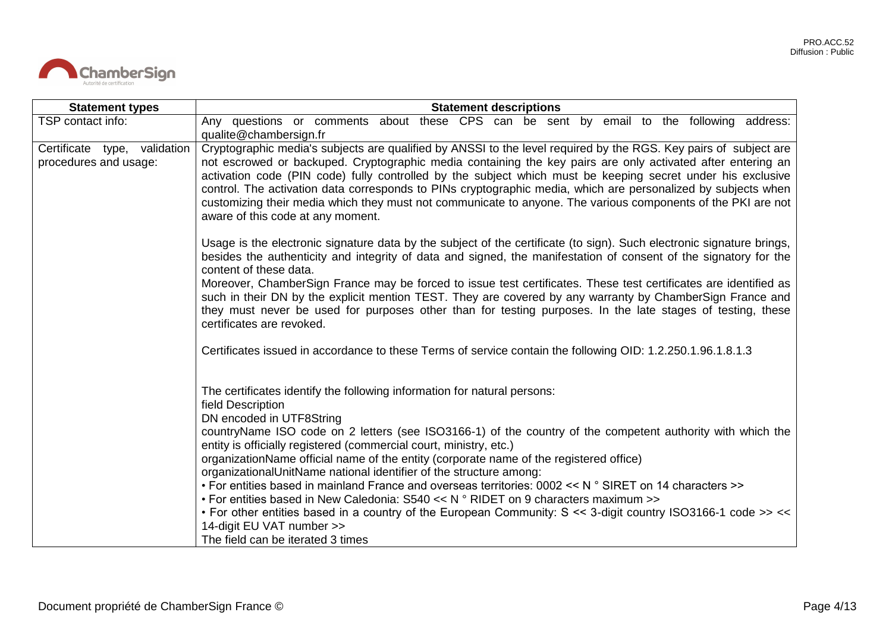

| <b>Statement types</b>                                | <b>Statement descriptions</b>                                                                                                                                                                                                                                                                                                                                                                                                                                                                                                                                                                                                                                                                                                                                                                                                                                           |  |
|-------------------------------------------------------|-------------------------------------------------------------------------------------------------------------------------------------------------------------------------------------------------------------------------------------------------------------------------------------------------------------------------------------------------------------------------------------------------------------------------------------------------------------------------------------------------------------------------------------------------------------------------------------------------------------------------------------------------------------------------------------------------------------------------------------------------------------------------------------------------------------------------------------------------------------------------|--|
| TSP contact info:                                     | Any questions or comments about these CPS can be sent by email to the following address:<br>qualite@chambersign.fr                                                                                                                                                                                                                                                                                                                                                                                                                                                                                                                                                                                                                                                                                                                                                      |  |
| Certificate type, validation<br>procedures and usage: | Cryptographic media's subjects are qualified by ANSSI to the level required by the RGS. Key pairs of subject are<br>not escrowed or backuped. Cryptographic media containing the key pairs are only activated after entering an<br>activation code (PIN code) fully controlled by the subject which must be keeping secret under his exclusive<br>control. The activation data corresponds to PINs cryptographic media, which are personalized by subjects when<br>customizing their media which they must not communicate to anyone. The various components of the PKI are not<br>aware of this code at any moment.                                                                                                                                                                                                                                                    |  |
|                                                       | Usage is the electronic signature data by the subject of the certificate (to sign). Such electronic signature brings,<br>besides the authenticity and integrity of data and signed, the manifestation of consent of the signatory for the<br>content of these data.<br>Moreover, ChamberSign France may be forced to issue test certificates. These test certificates are identified as<br>such in their DN by the explicit mention TEST. They are covered by any warranty by ChamberSign France and<br>they must never be used for purposes other than for testing purposes. In the late stages of testing, these<br>certificates are revoked.                                                                                                                                                                                                                         |  |
|                                                       | Certificates issued in accordance to these Terms of service contain the following OID: 1.2.250.1.96.1.8.1.3                                                                                                                                                                                                                                                                                                                                                                                                                                                                                                                                                                                                                                                                                                                                                             |  |
|                                                       | The certificates identify the following information for natural persons:<br>field Description<br>DN encoded in UTF8String<br>countryName ISO code on 2 letters (see ISO3166-1) of the country of the competent authority with which the<br>entity is officially registered (commercial court, ministry, etc.)<br>organizationName official name of the entity (corporate name of the registered office)<br>organizationalUnitName national identifier of the structure among:<br>• For entities based in mainland France and overseas territories: 0002 << N ° SIRET on 14 characters >><br>• For entities based in New Caledonia: S540 << $N \circ$ RIDET on 9 characters maximum >><br>• For other entities based in a country of the European Community: S << 3-digit country ISO3166-1 code >> <<<br>14-digit EU VAT number >><br>The field can be iterated 3 times |  |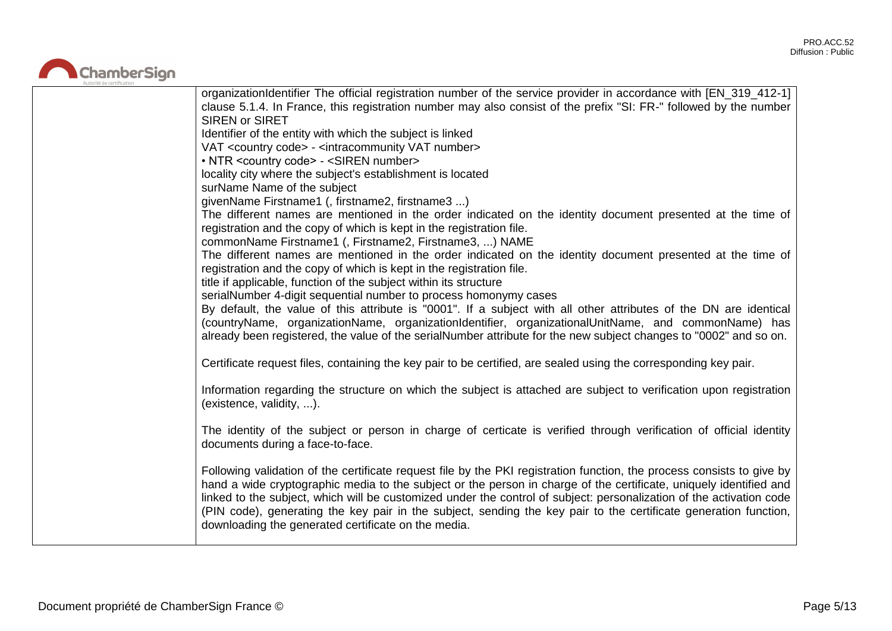

| organizationIdentifier The official registration number of the service provider in accordance with [EN_319_412-1]<br>clause 5.1.4. In France, this registration number may also consist of the prefix "SI: FR-" followed by the number<br><b>SIREN or SIRET</b><br>Identifier of the entity with which the subject is linked<br>VAT <country code=""> - <intracommunity number="" vat=""><br/>• NTR <country code=""> - <siren number=""><br/>locality city where the subject's establishment is located<br/>surName Name of the subject<br/>givenName Firstname1 (, firstname2, firstname3 )<br/>The different names are mentioned in the order indicated on the identity document presented at the time of<br/>registration and the copy of which is kept in the registration file.<br/>commonName Firstname1 (, Firstname2, Firstname3, ) NAME<br/>The different names are mentioned in the order indicated on the identity document presented at the time of<br/>registration and the copy of which is kept in the registration file.<br/>title if applicable, function of the subject within its structure<br/>serialNumber 4-digit sequential number to process homonymy cases<br/>By default, the value of this attribute is "0001". If a subject with all other attributes of the DN are identical</siren></country></intracommunity></country> |
|---------------------------------------------------------------------------------------------------------------------------------------------------------------------------------------------------------------------------------------------------------------------------------------------------------------------------------------------------------------------------------------------------------------------------------------------------------------------------------------------------------------------------------------------------------------------------------------------------------------------------------------------------------------------------------------------------------------------------------------------------------------------------------------------------------------------------------------------------------------------------------------------------------------------------------------------------------------------------------------------------------------------------------------------------------------------------------------------------------------------------------------------------------------------------------------------------------------------------------------------------------------------------------------------------------------------------------------------------------|
| (countryName, organizationName, organizationIdentifier, organizationalUnitName, and commonName) has<br>already been registered, the value of the serialNumber attribute for the new subject changes to "0002" and so on.<br>Certificate request files, containing the key pair to be certified, are sealed using the corresponding key pair.                                                                                                                                                                                                                                                                                                                                                                                                                                                                                                                                                                                                                                                                                                                                                                                                                                                                                                                                                                                                            |
| Information regarding the structure on which the subject is attached are subject to verification upon registration<br>(existence, validity, ).                                                                                                                                                                                                                                                                                                                                                                                                                                                                                                                                                                                                                                                                                                                                                                                                                                                                                                                                                                                                                                                                                                                                                                                                          |
| The identity of the subject or person in charge of certicate is verified through verification of official identity<br>documents during a face-to-face.<br>Following validation of the certificate request file by the PKI registration function, the process consists to give by                                                                                                                                                                                                                                                                                                                                                                                                                                                                                                                                                                                                                                                                                                                                                                                                                                                                                                                                                                                                                                                                        |
| hand a wide cryptographic media to the subject or the person in charge of the certificate, uniquely identified and<br>linked to the subject, which will be customized under the control of subject: personalization of the activation code<br>(PIN code), generating the key pair in the subject, sending the key pair to the certificate generation function,<br>downloading the generated certificate on the media.                                                                                                                                                                                                                                                                                                                                                                                                                                                                                                                                                                                                                                                                                                                                                                                                                                                                                                                                   |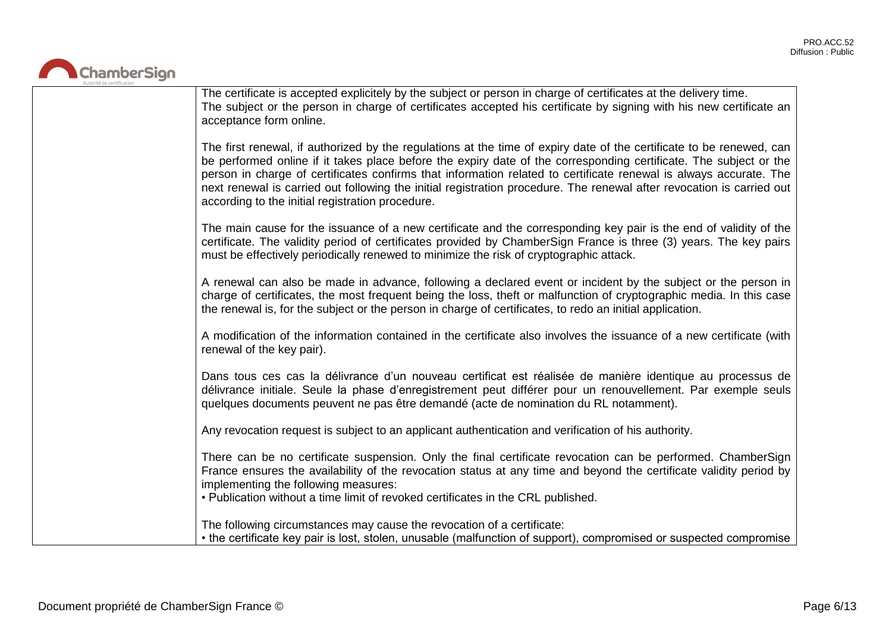

| The certificate is accepted explicitely by the subject or person in charge of certificates at the delivery time.<br>The subject or the person in charge of certificates accepted his certificate by signing with his new certificate an<br>acceptance form online.                                                                                                                                                                                                                                                                          |
|---------------------------------------------------------------------------------------------------------------------------------------------------------------------------------------------------------------------------------------------------------------------------------------------------------------------------------------------------------------------------------------------------------------------------------------------------------------------------------------------------------------------------------------------|
| The first renewal, if authorized by the regulations at the time of expiry date of the certificate to be renewed, can<br>be performed online if it takes place before the expiry date of the corresponding certificate. The subject or the<br>person in charge of certificates confirms that information related to certificate renewal is always accurate. The<br>next renewal is carried out following the initial registration procedure. The renewal after revocation is carried out<br>according to the initial registration procedure. |
| The main cause for the issuance of a new certificate and the corresponding key pair is the end of validity of the<br>certificate. The validity period of certificates provided by ChamberSign France is three (3) years. The key pairs<br>must be effectively periodically renewed to minimize the risk of cryptographic attack.                                                                                                                                                                                                            |
| A renewal can also be made in advance, following a declared event or incident by the subject or the person in<br>charge of certificates, the most frequent being the loss, theft or malfunction of cryptographic media. In this case<br>the renewal is, for the subject or the person in charge of certificates, to redo an initial application.                                                                                                                                                                                            |
| A modification of the information contained in the certificate also involves the issuance of a new certificate (with<br>renewal of the key pair).                                                                                                                                                                                                                                                                                                                                                                                           |
| Dans tous ces cas la délivrance d'un nouveau certificat est réalisée de manière identique au processus de<br>délivrance initiale. Seule la phase d'enregistrement peut différer pour un renouvellement. Par exemple seuls<br>quelques documents peuvent ne pas être demandé (acte de nomination du RL notamment).                                                                                                                                                                                                                           |
| Any revocation request is subject to an applicant authentication and verification of his authority.                                                                                                                                                                                                                                                                                                                                                                                                                                         |
| There can be no certificate suspension. Only the final certificate revocation can be performed. ChamberSign<br>France ensures the availability of the revocation status at any time and beyond the certificate validity period by<br>implementing the following measures:<br>. Publication without a time limit of revoked certificates in the CRL published.                                                                                                                                                                               |
| The following circumstances may cause the revocation of a certificate:<br>• the certificate key pair is lost, stolen, unusable (malfunction of support), compromised or suspected compromise                                                                                                                                                                                                                                                                                                                                                |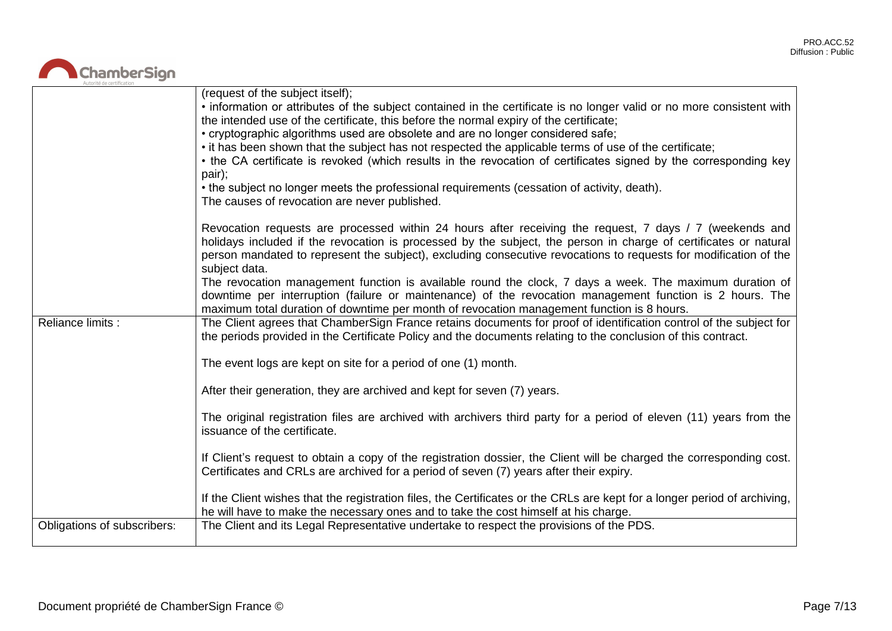# ChamberSign

|                             | (request of the subject itself);<br>• information or attributes of the subject contained in the certificate is no longer valid or no more consistent with<br>the intended use of the certificate, this before the normal expiry of the certificate;<br>• cryptographic algorithms used are obsolete and are no longer considered safe;<br>• it has been shown that the subject has not respected the applicable terms of use of the certificate;<br>• the CA certificate is revoked (which results in the revocation of certificates signed by the corresponding key<br>pair);<br>• the subject no longer meets the professional requirements (cessation of activity, death).<br>The causes of revocation are never published.                                                                                                                                                                                               |
|-----------------------------|------------------------------------------------------------------------------------------------------------------------------------------------------------------------------------------------------------------------------------------------------------------------------------------------------------------------------------------------------------------------------------------------------------------------------------------------------------------------------------------------------------------------------------------------------------------------------------------------------------------------------------------------------------------------------------------------------------------------------------------------------------------------------------------------------------------------------------------------------------------------------------------------------------------------------|
| Reliance limits :           | Revocation requests are processed within 24 hours after receiving the request, 7 days / 7 (weekends and<br>holidays included if the revocation is processed by the subject, the person in charge of certificates or natural<br>person mandated to represent the subject), excluding consecutive revocations to requests for modification of the<br>subject data.<br>The revocation management function is available round the clock, 7 days a week. The maximum duration of<br>downtime per interruption (failure or maintenance) of the revocation management function is 2 hours. The<br>maximum total duration of downtime per month of revocation management function is 8 hours.<br>The Client agrees that ChamberSign France retains documents for proof of identification control of the subject for<br>the periods provided in the Certificate Policy and the documents relating to the conclusion of this contract. |
|                             | The event logs are kept on site for a period of one (1) month.<br>After their generation, they are archived and kept for seven (7) years.                                                                                                                                                                                                                                                                                                                                                                                                                                                                                                                                                                                                                                                                                                                                                                                    |
|                             | The original registration files are archived with archivers third party for a period of eleven (11) years from the<br>issuance of the certificate.                                                                                                                                                                                                                                                                                                                                                                                                                                                                                                                                                                                                                                                                                                                                                                           |
|                             | If Client's request to obtain a copy of the registration dossier, the Client will be charged the corresponding cost.<br>Certificates and CRLs are archived for a period of seven (7) years after their expiry.                                                                                                                                                                                                                                                                                                                                                                                                                                                                                                                                                                                                                                                                                                               |
|                             | If the Client wishes that the registration files, the Certificates or the CRLs are kept for a longer period of archiving,<br>he will have to make the necessary ones and to take the cost himself at his charge.                                                                                                                                                                                                                                                                                                                                                                                                                                                                                                                                                                                                                                                                                                             |
| Obligations of subscribers: | The Client and its Legal Representative undertake to respect the provisions of the PDS.                                                                                                                                                                                                                                                                                                                                                                                                                                                                                                                                                                                                                                                                                                                                                                                                                                      |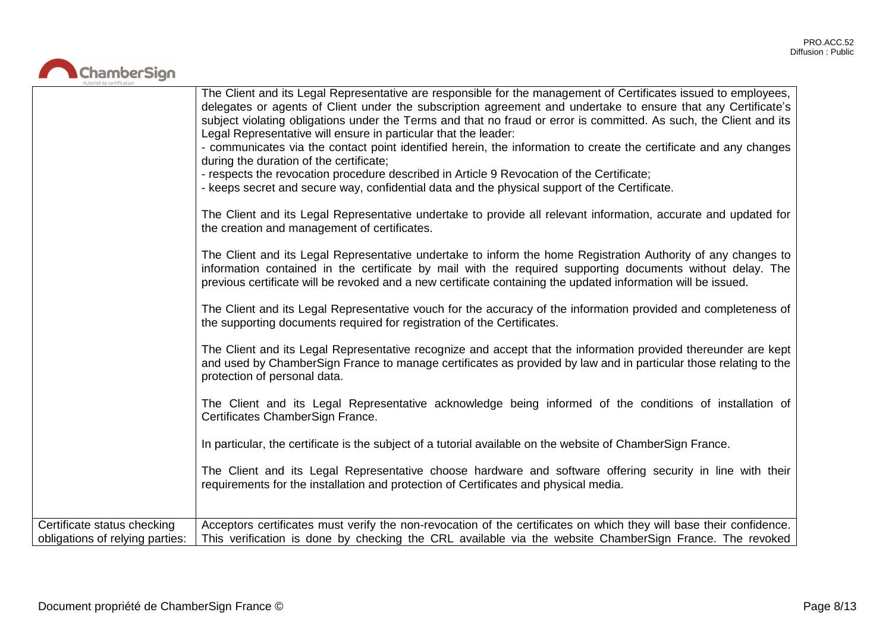

|                                 | The Client and its Legal Representative are responsible for the management of Certificates issued to employees,<br>delegates or agents of Client under the subscription agreement and undertake to ensure that any Certificate's<br>subject violating obligations under the Terms and that no fraud or error is committed. As such, the Client and its<br>Legal Representative will ensure in particular that the leader:<br>- communicates via the contact point identified herein, the information to create the certificate and any changes<br>during the duration of the certificate;<br>- respects the revocation procedure described in Article 9 Revocation of the Certificate;<br>- keeps secret and secure way, confidential data and the physical support of the Certificate.<br>The Client and its Legal Representative undertake to provide all relevant information, accurate and updated for<br>the creation and management of certificates.<br>The Client and its Legal Representative undertake to inform the home Registration Authority of any changes to<br>information contained in the certificate by mail with the required supporting documents without delay. The<br>previous certificate will be revoked and a new certificate containing the updated information will be issued.<br>The Client and its Legal Representative vouch for the accuracy of the information provided and completeness of<br>the supporting documents required for registration of the Certificates.<br>The Client and its Legal Representative recognize and accept that the information provided thereunder are kept<br>and used by ChamberSign France to manage certificates as provided by law and in particular those relating to the<br>protection of personal data.<br>The Client and its Legal Representative acknowledge being informed of the conditions of installation of<br>Certificates ChamberSign France.<br>In particular, the certificate is the subject of a tutorial available on the website of ChamberSign France.<br>The Client and its Legal Representative choose hardware and software offering security in line with their<br>requirements for the installation and protection of Certificates and physical media. |
|---------------------------------|--------------------------------------------------------------------------------------------------------------------------------------------------------------------------------------------------------------------------------------------------------------------------------------------------------------------------------------------------------------------------------------------------------------------------------------------------------------------------------------------------------------------------------------------------------------------------------------------------------------------------------------------------------------------------------------------------------------------------------------------------------------------------------------------------------------------------------------------------------------------------------------------------------------------------------------------------------------------------------------------------------------------------------------------------------------------------------------------------------------------------------------------------------------------------------------------------------------------------------------------------------------------------------------------------------------------------------------------------------------------------------------------------------------------------------------------------------------------------------------------------------------------------------------------------------------------------------------------------------------------------------------------------------------------------------------------------------------------------------------------------------------------------------------------------------------------------------------------------------------------------------------------------------------------------------------------------------------------------------------------------------------------------------------------------------------------------------------------------------------------------------------------------------------------------------------------------------------------------------------------------|
| Certificate status checking     | Acceptors certificates must verify the non-revocation of the certificates on which they will base their confidence.                                                                                                                                                                                                                                                                                                                                                                                                                                                                                                                                                                                                                                                                                                                                                                                                                                                                                                                                                                                                                                                                                                                                                                                                                                                                                                                                                                                                                                                                                                                                                                                                                                                                                                                                                                                                                                                                                                                                                                                                                                                                                                                              |
| obligations of relying parties: | This verification is done by checking the CRL available via the website ChamberSign France. The revoked                                                                                                                                                                                                                                                                                                                                                                                                                                                                                                                                                                                                                                                                                                                                                                                                                                                                                                                                                                                                                                                                                                                                                                                                                                                                                                                                                                                                                                                                                                                                                                                                                                                                                                                                                                                                                                                                                                                                                                                                                                                                                                                                          |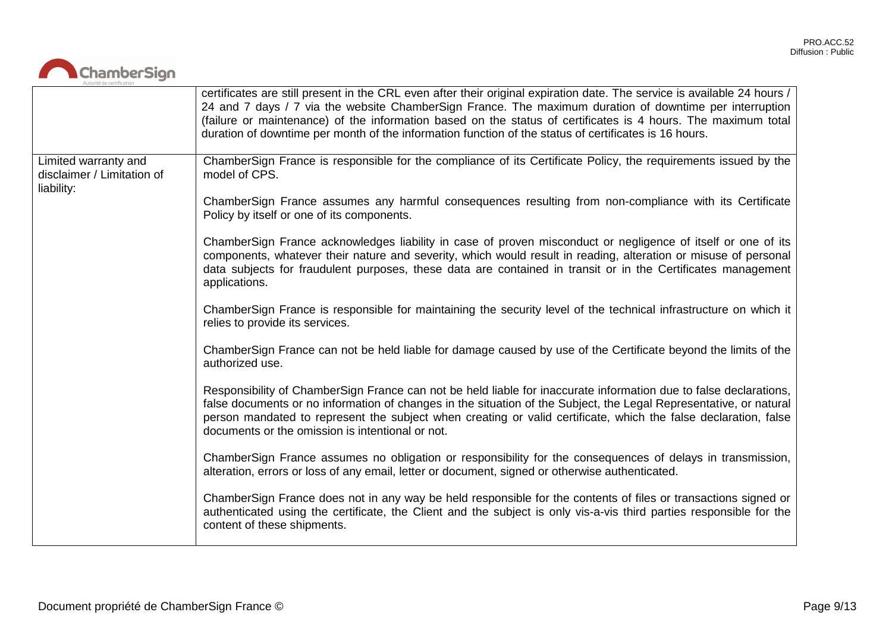

|                                                                  | certificates are still present in the CRL even after their original expiration date. The service is available 24 hours /<br>24 and 7 days / 7 via the website ChamberSign France. The maximum duration of downtime per interruption<br>(failure or maintenance) of the information based on the status of certificates is 4 hours. The maximum total<br>duration of downtime per month of the information function of the status of certificates is 16 hours. |
|------------------------------------------------------------------|---------------------------------------------------------------------------------------------------------------------------------------------------------------------------------------------------------------------------------------------------------------------------------------------------------------------------------------------------------------------------------------------------------------------------------------------------------------|
| Limited warranty and<br>disclaimer / Limitation of<br>liability: | ChamberSign France is responsible for the compliance of its Certificate Policy, the requirements issued by the<br>model of CPS.                                                                                                                                                                                                                                                                                                                               |
|                                                                  | ChamberSign France assumes any harmful consequences resulting from non-compliance with its Certificate<br>Policy by itself or one of its components.                                                                                                                                                                                                                                                                                                          |
|                                                                  | ChamberSign France acknowledges liability in case of proven misconduct or negligence of itself or one of its<br>components, whatever their nature and severity, which would result in reading, alteration or misuse of personal<br>data subjects for fraudulent purposes, these data are contained in transit or in the Certificates management<br>applications.                                                                                              |
|                                                                  | ChamberSign France is responsible for maintaining the security level of the technical infrastructure on which it<br>relies to provide its services.                                                                                                                                                                                                                                                                                                           |
|                                                                  | ChamberSign France can not be held liable for damage caused by use of the Certificate beyond the limits of the<br>authorized use.                                                                                                                                                                                                                                                                                                                             |
|                                                                  | Responsibility of ChamberSign France can not be held liable for inaccurate information due to false declarations,<br>false documents or no information of changes in the situation of the Subject, the Legal Representative, or natural<br>person mandated to represent the subject when creating or valid certificate, which the false declaration, false<br>documents or the omission is intentional or not.                                                |
|                                                                  | ChamberSign France assumes no obligation or responsibility for the consequences of delays in transmission,<br>alteration, errors or loss of any email, letter or document, signed or otherwise authenticated.                                                                                                                                                                                                                                                 |
|                                                                  | ChamberSign France does not in any way be held responsible for the contents of files or transactions signed or<br>authenticated using the certificate, the Client and the subject is only vis-a-vis third parties responsible for the<br>content of these shipments.                                                                                                                                                                                          |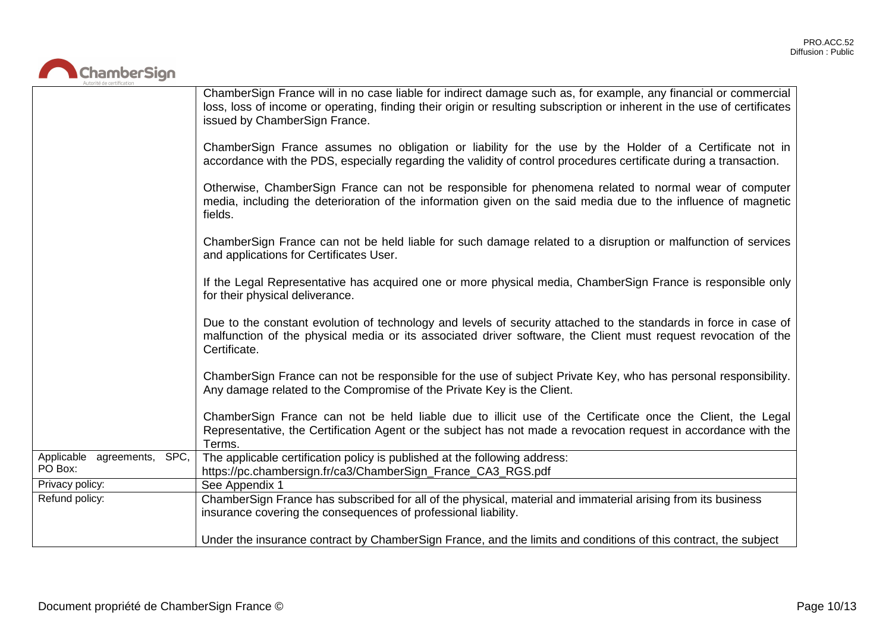

|                                        | ChamberSign France will in no case liable for indirect damage such as, for example, any financial or commercial<br>loss, loss of income or operating, finding their origin or resulting subscription or inherent in the use of certificates<br>issued by ChamberSign France. |
|----------------------------------------|------------------------------------------------------------------------------------------------------------------------------------------------------------------------------------------------------------------------------------------------------------------------------|
|                                        | ChamberSign France assumes no obligation or liability for the use by the Holder of a Certificate not in<br>accordance with the PDS, especially regarding the validity of control procedures certificate during a transaction.                                                |
|                                        | Otherwise, ChamberSign France can not be responsible for phenomena related to normal wear of computer<br>media, including the deterioration of the information given on the said media due to the influence of magnetic<br>fields.                                           |
|                                        | ChamberSign France can not be held liable for such damage related to a disruption or malfunction of services<br>and applications for Certificates User.                                                                                                                      |
|                                        | If the Legal Representative has acquired one or more physical media, ChamberSign France is responsible only<br>for their physical deliverance.                                                                                                                               |
|                                        | Due to the constant evolution of technology and levels of security attached to the standards in force in case of<br>malfunction of the physical media or its associated driver software, the Client must request revocation of the<br>Certificate.                           |
|                                        | ChamberSign France can not be responsible for the use of subject Private Key, who has personal responsibility.<br>Any damage related to the Compromise of the Private Key is the Client.                                                                                     |
|                                        | ChamberSign France can not be held liable due to illicit use of the Certificate once the Client, the Legal<br>Representative, the Certification Agent or the subject has not made a revocation request in accordance with the<br>Terms.                                      |
| Applicable agreements, SPC,<br>PO Box: | The applicable certification policy is published at the following address:<br>https://pc.chambersign.fr/ca3/ChamberSign_France_CA3_RGS.pdf                                                                                                                                   |
| Privacy policy:                        | See Appendix 1                                                                                                                                                                                                                                                               |
| Refund policy:                         | ChamberSign France has subscribed for all of the physical, material and immaterial arising from its business<br>insurance covering the consequences of professional liability.                                                                                               |
|                                        | Under the insurance contract by ChamberSign France, and the limits and conditions of this contract, the subject                                                                                                                                                              |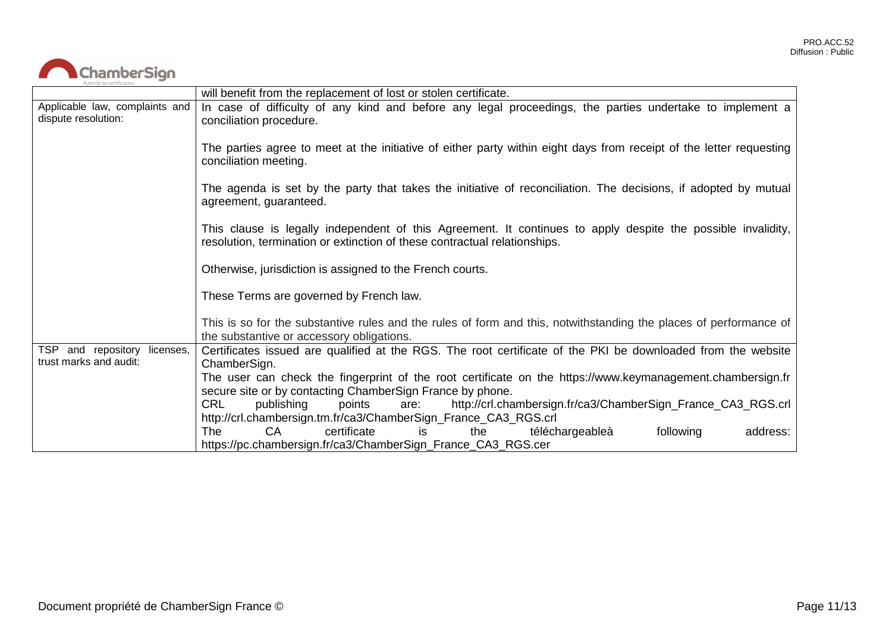

|                                                        | will benefit from the replacement of lost or stolen certificate.                                                                                                                          |
|--------------------------------------------------------|-------------------------------------------------------------------------------------------------------------------------------------------------------------------------------------------|
| Applicable law, complaints and<br>dispute resolution:  | In case of difficulty of any kind and before any legal proceedings, the parties undertake to implement a<br>conciliation procedure.                                                       |
|                                                        | The parties agree to meet at the initiative of either party within eight days from receipt of the letter requesting<br>conciliation meeting.                                              |
|                                                        | The agenda is set by the party that takes the initiative of reconciliation. The decisions, if adopted by mutual<br>agreement, guaranteed.                                                 |
|                                                        | This clause is legally independent of this Agreement. It continues to apply despite the possible invalidity,<br>resolution, termination or extinction of these contractual relationships. |
|                                                        | Otherwise, jurisdiction is assigned to the French courts.                                                                                                                                 |
|                                                        | These Terms are governed by French law.                                                                                                                                                   |
|                                                        | This is so for the substantive rules and the rules of form and this, notwithstanding the places of performance of<br>the substantive or accessory obligations.                            |
| TSP and repository licenses,<br>trust marks and audit: | Certificates issued are qualified at the RGS. The root certificate of the PKI be downloaded from the website<br>ChamberSign.                                                              |
|                                                        | The user can check the fingerprint of the root certificate on the https://www.keymanagement.chambersign.fr<br>secure site or by contacting ChamberSign France by phone.                   |
|                                                        | <b>CRL</b><br>publishing<br>http://crl.chambersign.fr/ca3/ChamberSign_France_CA3_RGS.crl<br>points<br>are:                                                                                |
|                                                        | http://crl.chambersign.tm.fr/ca3/ChamberSign_France_CA3_RGS.crl                                                                                                                           |
|                                                        | <b>The</b><br><b>CA</b><br>certificate<br>following<br>téléchargeableà<br>address:<br>the<br>is.<br>https://pc.chambersign.fr/ca3/ChamberSign_France_CA3_RGS.cer                          |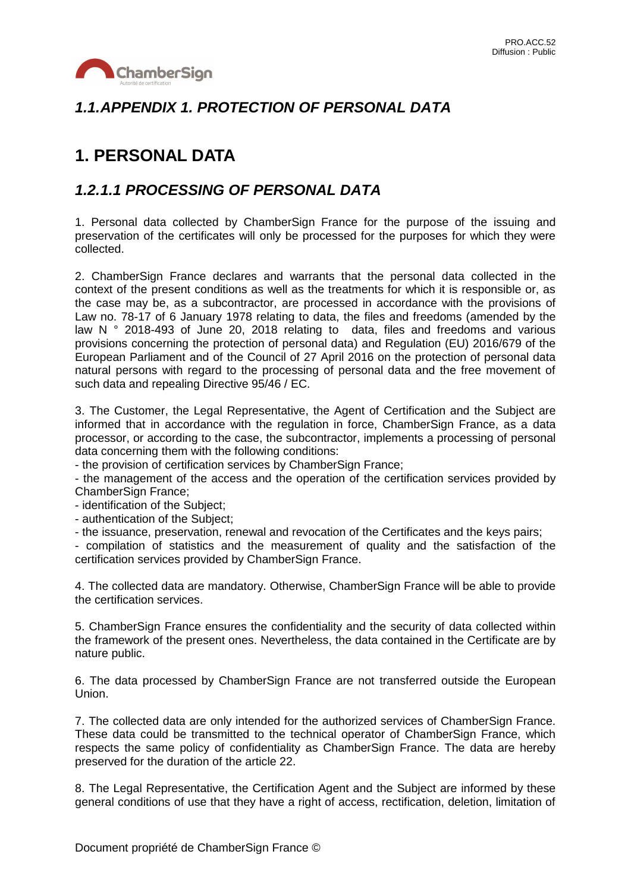

### *1.1.APPENDIX 1. PROTECTION OF PERSONAL DATA*

# **1. PERSONAL DATA**

#### *1.2.1.1 PROCESSING OF PERSONAL DATA*

1. Personal data collected by ChamberSign France for the purpose of the issuing and preservation of the certificates will only be processed for the purposes for which they were collected.

2. ChamberSign France declares and warrants that the personal data collected in the context of the present conditions as well as the treatments for which it is responsible or, as the case may be, as a subcontractor, are processed in accordance with the provisions of Law no. 78-17 of 6 January 1978 relating to data, the files and freedoms (amended by the law N ° 2018-493 of June 20, 2018 relating to data, files and freedoms and various provisions concerning the protection of personal data) and Regulation (EU) 2016/679 of the European Parliament and of the Council of 27 April 2016 on the protection of personal data natural persons with regard to the processing of personal data and the free movement of such data and repealing Directive 95/46 / EC.

3. The Customer, the Legal Representative, the Agent of Certification and the Subject are informed that in accordance with the regulation in force, ChamberSign France, as a data processor, or according to the case, the subcontractor, implements a processing of personal data concerning them with the following conditions:

- the provision of certification services by ChamberSign France;

- the management of the access and the operation of the certification services provided by ChamberSign France;

- identification of the Subject;

- authentication of the Subject;

- the issuance, preservation, renewal and revocation of the Certificates and the keys pairs;

- compilation of statistics and the measurement of quality and the satisfaction of the certification services provided by ChamberSign France.

4. The collected data are mandatory. Otherwise, ChamberSign France will be able to provide the certification services.

5. ChamberSign France ensures the confidentiality and the security of data collected within the framework of the present ones. Nevertheless, the data contained in the Certificate are by nature public.

6. The data processed by ChamberSign France are not transferred outside the European Union.

7. The collected data are only intended for the authorized services of ChamberSign France. These data could be transmitted to the technical operator of ChamberSign France, which respects the same policy of confidentiality as ChamberSign France. The data are hereby preserved for the duration of the article 22.

8. The Legal Representative, the Certification Agent and the Subject are informed by these general conditions of use that they have a right of access, rectification, deletion, limitation of